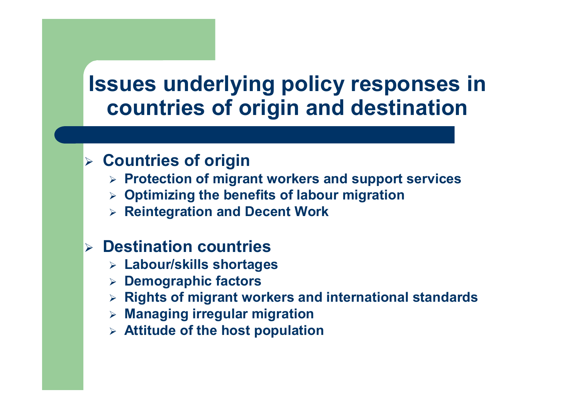### Issues underlying policy responses in countries of origin and destination

### > Countries of origin

- > Protection of migrant workers and support services
- > Optimizing the benefits of labour migration
- $\triangleright$  Reintegration and Decent Work

### **Destination countries**

- Labour/skills shortages
- > Demographic factors
- > Rights of migrant workers and international standards
- Managing irregular migration
- $\triangleright$  Attitude of the host population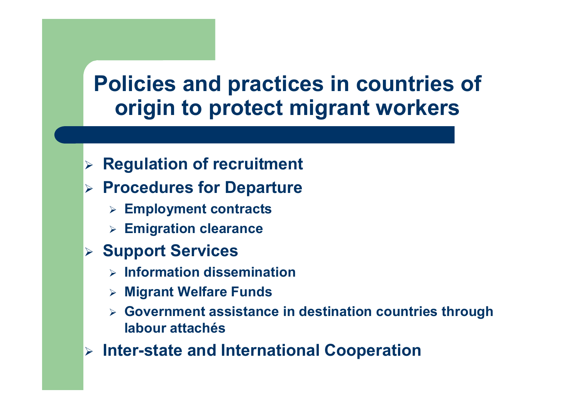## Policies and practices in countries of origin to protect migrant workers

- $\blacktriangleright$ Regulation of recruitment
- $\triangleright$  Procedures for Departure
	- $\triangleright$  Employment contracts
	- $\triangleright$  Emigration clearance
- **≽ Support Services** 
	- $\triangleright$  Information dissemination
	- Migrant Welfare Funds
	- $\blacktriangleright$  Government assistance in destination countries through labour attachés
- Inter-state and International Cooperation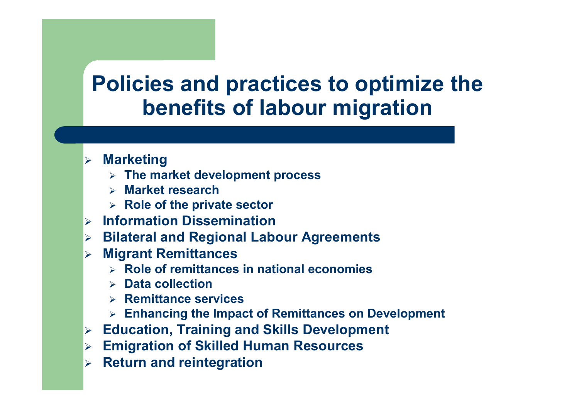## Policies and practices to optimize the benefits of labour migration

- **⊳ Marketing** 
	- $\triangleright$  The market development process
	- > Market research
	- $\triangleright$  Role of the private sector
- $\blacktriangleright$ Information Dissemination
- **Bilateral and Regional Labour Agreements**<br>Missent Remitterace
- **EXECUTE: Migrant Remittances** 
	- $\triangleright$  Role of remittances in national economies
	- > Data collection
	- > Remittance services
	- > Enhancing the Impact of Remittances on Development
- $\blacktriangleright$ Education, Training and Skills Development
- $\blacktriangleright$ Emigration of Skilled Human Resources
- $\blacktriangleright$ Return and reintegration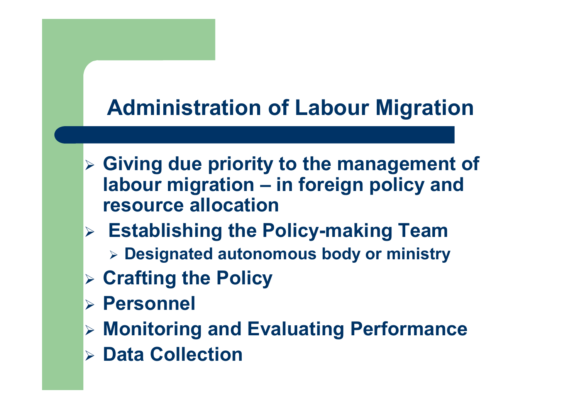## Administration of Labour Migration

- Siving due priority to the management of labour migration – in foreign policy and resource allocation
- **Establishing the Policy-making Team**  $\triangleright$  Designated autonomous body or ministry
- Crafting the Policy
- Personnel
- Monitoring and Evaluating Performance
- Data Collection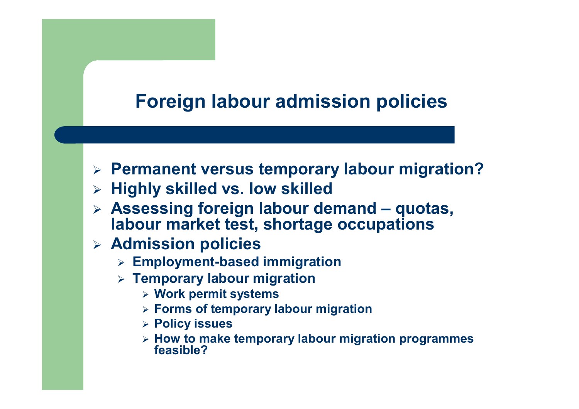#### Foreign labour admission policies

- > Permanent versus temporary labour migration?
- $\triangleright$  Highly skilled vs. low skilled
- Assessing foreign labour demand quotas, labour market test, shortage occupations
- **EXAGE SHOW SHOW SHOWS** 
	- Employment-based immigration
	- > Temporary labour migration
		- Work permit systems
		- **Eorms of temporary labour migration**
		- Policy issues
		- $\triangleright$  How to make temporary labour migration programmes<br>feasible? feasible?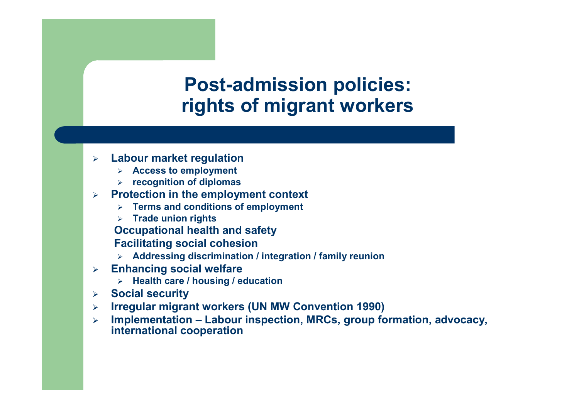#### Post-admission policies:rights of migrant workers

- $\blacktriangleright$  Labour market regulation
	- > Access to employment
	- $\triangleright$  recognition of diplomas
- $\blacktriangleright$  Protection in the employment context
	- $\triangleright$  Terms and conditions of employment
	- > Trade union rights

Occupational health and safety

Facilitating social cohesion

- Addressing discrimination / integration / family reunion
- $\blacktriangleright$  Enhancing social welfare
	- $\triangleright$  Health care / housing / education
- $\blacktriangleright$ Social security
- $\blacktriangleright$ Irregular migrant workers (UN MW Convention 1990)
- $\blacktriangleright$  Implementation – Labour inspection, MRCs, group formation, advocacy, international cooperation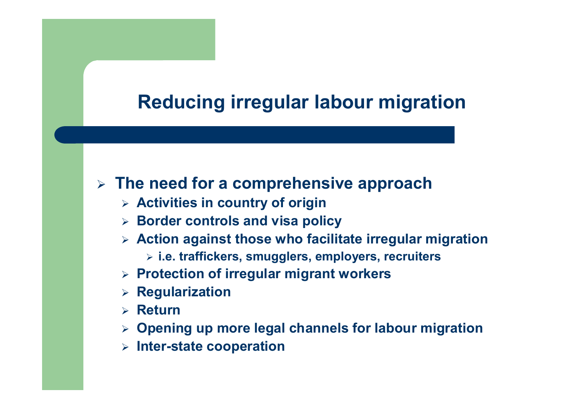#### Reducing irregular labour migration

## $\triangleright$  The need for a comprehensive approach

- $\triangleright$  Activities in country of origin
- $\triangleright$  Border controls and visa policy
- $\triangleright$  Action against those who facilitate irregular migration
	- $\triangleright$  i.e. traffickers, smugglers, employers, recruiters
- $\triangleright$  Protection of irregular migrant workers
- $\triangleright$  Regularization
- $\triangleright$  Return
- $\triangleright$  Opening up more legal channels for labour migration
- $\triangleright$  Inter-state cooperation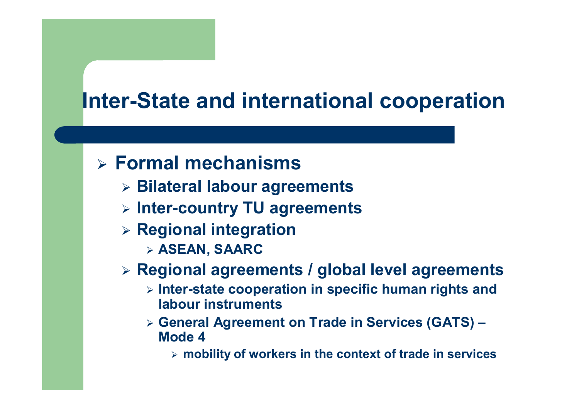## Inter-State and international cooperation

# Formal mechanisms

- Bilateral labour agreements
- $\triangleright$  Inter-country TU agreements
- > Regional integration
	- $\triangleright$  ASEAN, SAARC

## Regional agreements / global level agreements

- > Inter-state cooperation in specific human rights and labour instruments
- General Agreement on Trade in Services (GATS) Mode 4
	- $\triangleright$  mobility of workers in the context of trade in services